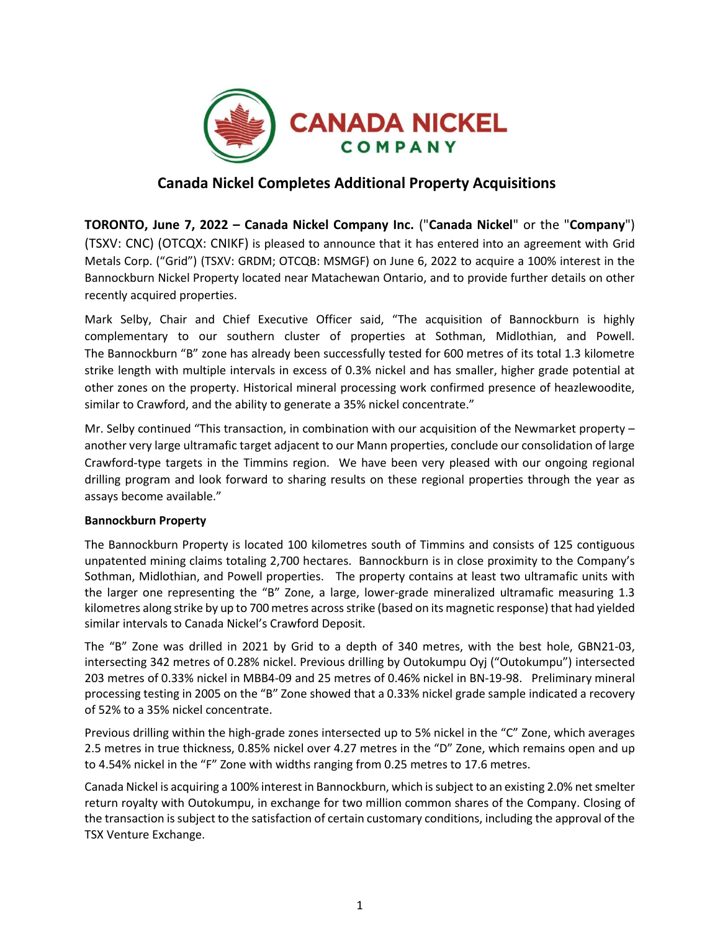

# **Canada Nickel Completes Additional Property Acquisitions**

**TORONTO, June 7, 2022 – Canada Nickel Company Inc.** ("**Canada Nickel**" or the "**Company**") (TSXV: CNC) (OTCQX: CNIKF) is pleased to announce that it has entered into an agreement with Grid Metals Corp. ("Grid") (TSXV: GRDM; OTCQB: MSMGF) on June 6, 2022 to acquire a 100% interest in the Bannockburn Nickel Property located near Matachewan Ontario, and to provide further details on other recently acquired properties.

Mark Selby, Chair and Chief Executive Officer said, "The acquisition of Bannockburn is highly complementary to our southern cluster of properties at Sothman, Midlothian, and Powell. The Bannockburn "B" zone has already been successfully tested for 600 metres of its total 1.3 kilometre strike length with multiple intervals in excess of 0.3% nickel and has smaller, higher grade potential at other zones on the property. Historical mineral processing work confirmed presence of heazlewoodite, similar to Crawford, and the ability to generate a 35% nickel concentrate."

Mr. Selby continued "This transaction, in combination with our acquisition of the Newmarket property – another very large ultramafic target adjacent to our Mann properties, conclude our consolidation of large Crawford-type targets in the Timmins region. We have been very pleased with our ongoing regional drilling program and look forward to sharing results on these regional properties through the year as assays become available."

## **Bannockburn Property**

The Bannockburn Property is located 100 kilometres south of Timmins and consists of 125 contiguous unpatented mining claims totaling 2,700 hectares. Bannockburn is in close proximity to the Company's Sothman, Midlothian, and Powell properties. The property contains at least two ultramafic units with the larger one representing the "B" Zone, a large, lower-grade mineralized ultramafic measuring 1.3 kilometres along strike by up to 700 metres across strike (based on its magnetic response) that had yielded similar intervals to Canada Nickel's Crawford Deposit.

The "B" Zone was drilled in 2021 by Grid to a depth of 340 metres, with the best hole, GBN21-03, intersecting 342 metres of 0.28% nickel. Previous drilling by Outokumpu Oyj ("Outokumpu") intersected 203 metres of 0.33% nickel in MBB4-09 and 25 metres of 0.46% nickel in BN-19-98. Preliminary mineral processing testing in 2005 on the "B" Zone showed that a 0.33% nickel grade sample indicated a recovery of 52% to a 35% nickel concentrate.

Previous drilling within the high-grade zones intersected up to 5% nickel in the "C" Zone, which averages 2.5 metres in true thickness, 0.85% nickel over 4.27 metres in the "D" Zone, which remains open and up to 4.54% nickel in the "F" Zone with widths ranging from 0.25 metres to 17.6 metres.

Canada Nickel is acquiring a 100% interest in Bannockburn, which is subject to an existing 2.0% net smelter return royalty with Outokumpu, in exchange for two million common shares of the Company. Closing of the transaction is subject to the satisfaction of certain customary conditions, including the approval of the TSX Venture Exchange.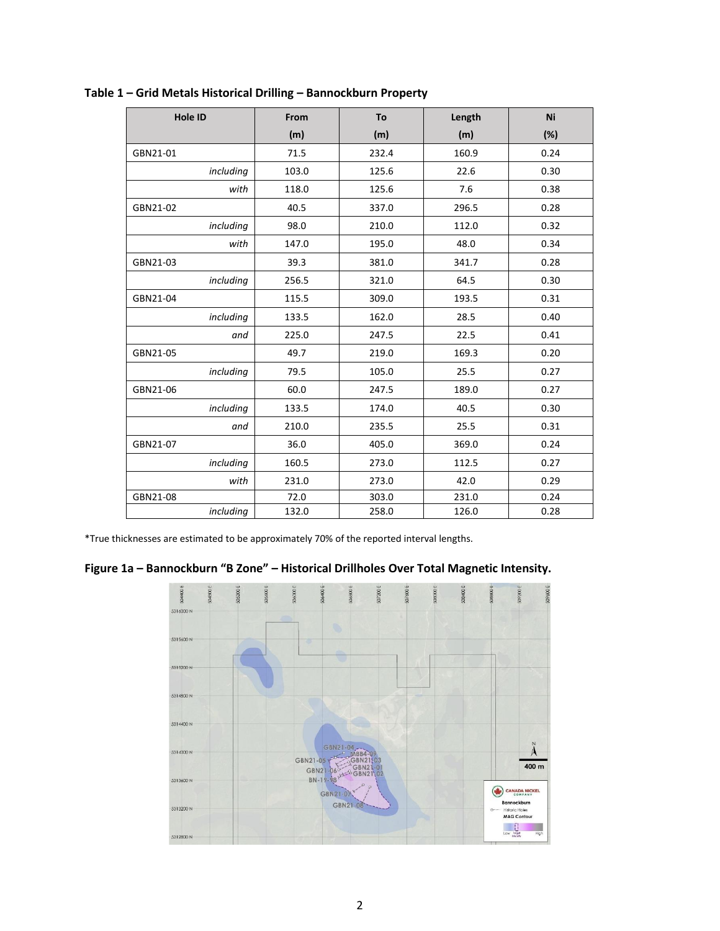| Hole ID   | From  | To    | Length | Ni   |
|-----------|-------|-------|--------|------|
|           | (m)   | (m)   | (m)    | (%)  |
| GBN21-01  | 71.5  | 232.4 | 160.9  | 0.24 |
| including | 103.0 | 125.6 | 22.6   | 0.30 |
| with      | 118.0 | 125.6 | 7.6    | 0.38 |
| GBN21-02  | 40.5  | 337.0 | 296.5  | 0.28 |
| including | 98.0  | 210.0 | 112.0  | 0.32 |
| with      | 147.0 | 195.0 | 48.0   | 0.34 |
| GBN21-03  | 39.3  | 381.0 | 341.7  | 0.28 |
| including | 256.5 | 321.0 | 64.5   | 0.30 |
| GBN21-04  | 115.5 | 309.0 | 193.5  | 0.31 |
| including | 133.5 | 162.0 | 28.5   | 0.40 |
| and       | 225.0 | 247.5 | 22.5   | 0.41 |
| GBN21-05  | 49.7  | 219.0 | 169.3  | 0.20 |
| including | 79.5  | 105.0 | 25.5   | 0.27 |
| GBN21-06  | 60.0  | 247.5 | 189.0  | 0.27 |
| including | 133.5 | 174.0 | 40.5   | 0.30 |
| and       | 210.0 | 235.5 | 25.5   | 0.31 |
| GBN21-07  | 36.0  | 405.0 | 369.0  | 0.24 |
| including | 160.5 | 273.0 | 112.5  | 0.27 |
| with      | 231.0 | 273.0 | 42.0   | 0.29 |
| GBN21-08  | 72.0  | 303.0 | 231.0  | 0.24 |
| including | 132.0 | 258.0 | 126.0  | 0.28 |

**Table 1 – Grid Metals Historical Drilling – Bannockburn Property**

\*True thicknesses are estimated to be approximately 70% of the reported interval lengths.



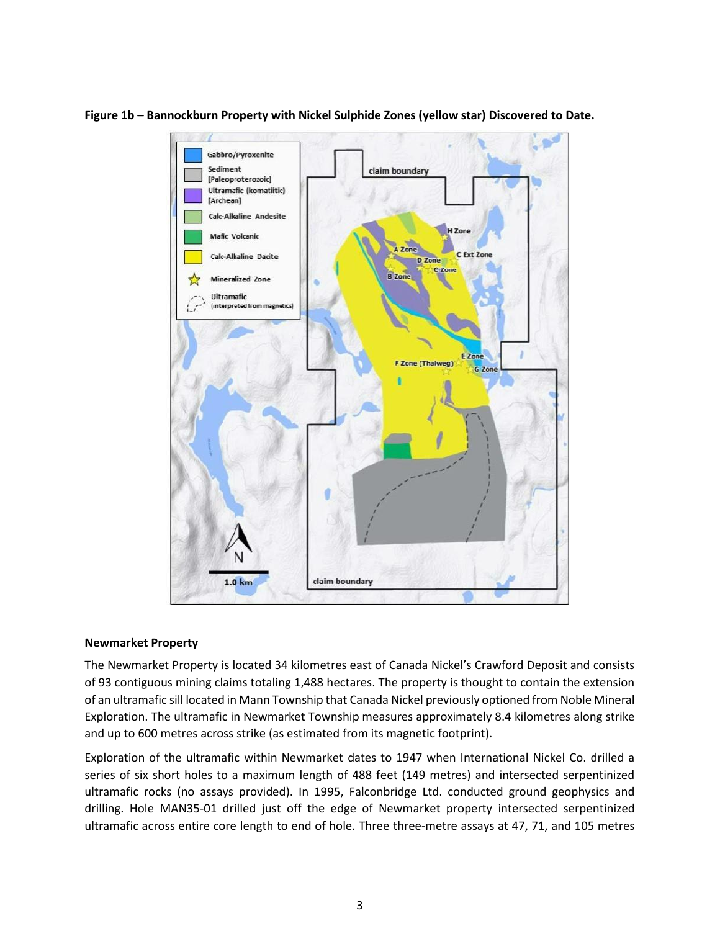

**Figure 1b – Bannockburn Property with Nickel Sulphide Zones (yellow star) Discovered to Date.**

#### **Newmarket Property**

The Newmarket Property is located 34 kilometres east of Canada Nickel's Crawford Deposit and consists of 93 contiguous mining claims totaling 1,488 hectares. The property is thought to contain the extension of an ultramafic sill located in Mann Township that Canada Nickel previously optioned from Noble Mineral Exploration. The ultramafic in Newmarket Township measures approximately 8.4 kilometres along strike and up to 600 metres across strike (as estimated from its magnetic footprint).

Exploration of the ultramafic within Newmarket dates to 1947 when International Nickel Co. drilled a series of six short holes to a maximum length of 488 feet (149 metres) and intersected serpentinized ultramafic rocks (no assays provided). In 1995, Falconbridge Ltd. conducted ground geophysics and drilling. Hole MAN35-01 drilled just off the edge of Newmarket property intersected serpentinized ultramafic across entire core length to end of hole. Three three-metre assays at 47, 71, and 105 metres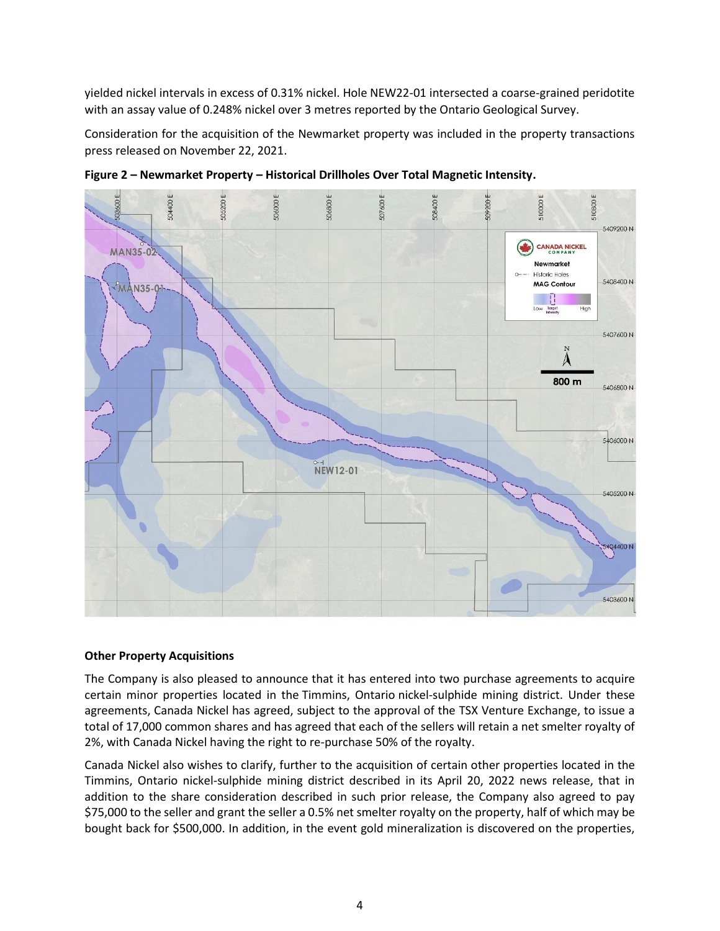yielded nickel intervals in excess of 0.31% nickel. Hole NEW22-01 intersected a coarse-grained peridotite with an assay value of 0.248% nickel over 3 metres reported by the Ontario Geological Survey.

Consideration for the acquisition of the Newmarket property was included in the property transactions press released on November 22, 2021.



**Figure 2 – Newmarket Property – Historical Drillholes Over Total Magnetic Intensity.**

## **Other Property Acquisitions**

The Company is also pleased to announce that it has entered into two purchase agreements to acquire certain minor properties located in the Timmins, Ontario nickel-sulphide mining district. Under these agreements, Canada Nickel has agreed, subject to the approval of the TSX Venture Exchange, to issue a total of 17,000 common shares and has agreed that each of the sellers will retain a net smelter royalty of 2%, with Canada Nickel having the right to re-purchase 50% of the royalty.

Canada Nickel also wishes to clarify, further to the acquisition of certain other properties located in the Timmins, Ontario nickel-sulphide mining district described in its April 20, 2022 news release, that in addition to the share consideration described in such prior release, the Company also agreed to pay \$75,000 to the seller and grant the seller a 0.5% net smelter royalty on the property, half of which may be bought back for \$500,000. In addition, in the event gold mineralization is discovered on the properties,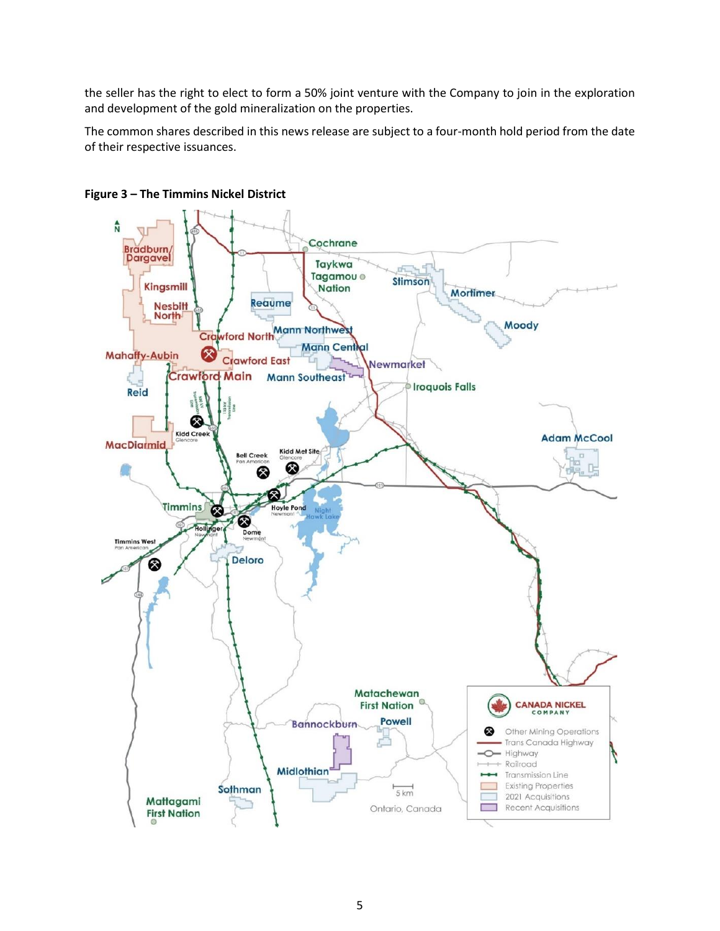the seller has the right to elect to form a 50% joint venture with the Company to join in the exploration and development of the gold mineralization on the properties.

The common shares described in this news release are subject to a four-month hold period from the date of their respective issuances.



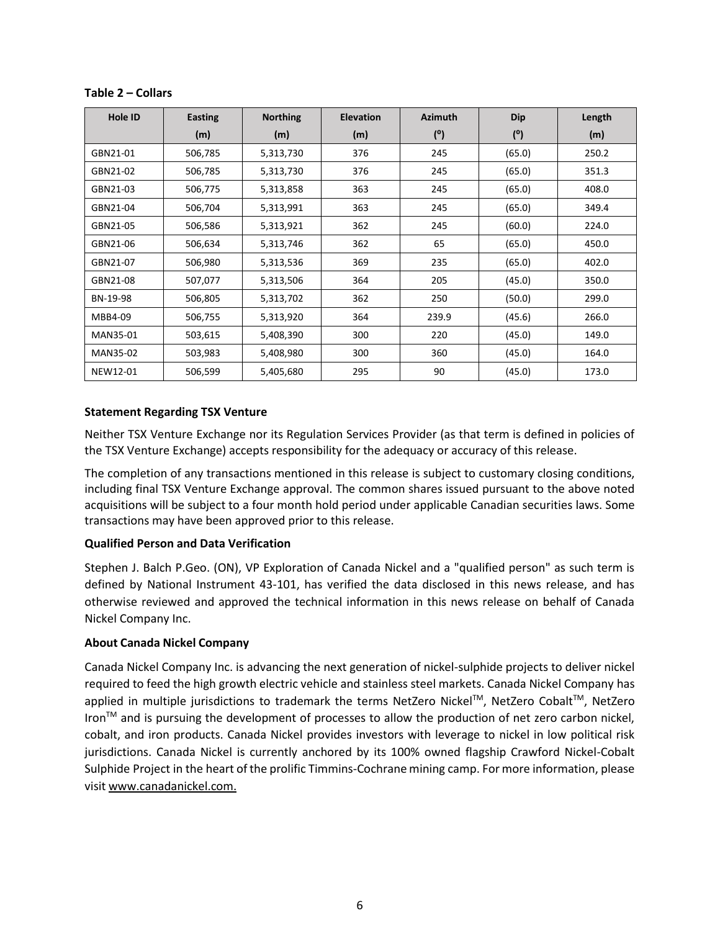| <b>Hole ID</b> | <b>Easting</b> | <b>Northing</b> | <b>Elevation</b> | <b>Azimuth</b> | <b>Dip</b> | Length |
|----------------|----------------|-----------------|------------------|----------------|------------|--------|
|                | (m)            | (m)             | (m)              | (°)            | (°)        | (m)    |
| GBN21-01       | 506,785        | 5,313,730       | 376              | 245            | (65.0)     | 250.2  |
| GBN21-02       | 506,785        | 5,313,730       | 376              | 245            | (65.0)     | 351.3  |
| GBN21-03       | 506,775        | 5,313,858       | 363              | 245            | (65.0)     | 408.0  |
| GBN21-04       | 506,704        | 5,313,991       | 363              | 245            | (65.0)     | 349.4  |
| GBN21-05       | 506,586        | 5,313,921       | 362              | 245            | (60.0)     | 224.0  |
| GBN21-06       | 506,634        | 5,313,746       | 362              | 65             | (65.0)     | 450.0  |
| GBN21-07       | 506,980        | 5,313,536       | 369              | 235            | (65.0)     | 402.0  |
| GBN21-08       | 507,077        | 5,313,506       | 364              | 205            | (45.0)     | 350.0  |
| BN-19-98       | 506,805        | 5,313,702       | 362              | 250            | (50.0)     | 299.0  |
| MBB4-09        | 506,755        | 5,313,920       | 364              | 239.9          | (45.6)     | 266.0  |
| MAN35-01       | 503,615        | 5,408,390       | 300              | 220            | (45.0)     | 149.0  |
| MAN35-02       | 503,983        | 5,408,980       | 300              | 360            | (45.0)     | 164.0  |
| NEW12-01       | 506,599        | 5,405,680       | 295              | 90             | (45.0)     | 173.0  |

## **Table 2 – Collars**

## **Statement Regarding TSX Venture**

Neither TSX Venture Exchange nor its Regulation Services Provider (as that term is defined in policies of the TSX Venture Exchange) accepts responsibility for the adequacy or accuracy of this release.

The completion of any transactions mentioned in this release is subject to customary closing conditions, including final TSX Venture Exchange approval. The common shares issued pursuant to the above noted acquisitions will be subject to a four month hold period under applicable Canadian securities laws. Some transactions may have been approved prior to this release.

## **Qualified Person and Data Verification**

Stephen J. Balch P.Geo. (ON), VP Exploration of Canada Nickel and a "qualified person" as such term is defined by National Instrument 43-101, has verified the data disclosed in this news release, and has otherwise reviewed and approved the technical information in this news release on behalf of Canada Nickel Company Inc.

## **About Canada Nickel Company**

Canada Nickel Company Inc. is advancing the next generation of nickel-sulphide projects to deliver nickel required to feed the high growth electric vehicle and stainless steel markets. Canada Nickel Company has applied in multiple jurisdictions to trademark the terms NetZero Nickel™, NetZero Cobalt™, NetZero Iron<sup>™</sup> and is pursuing the development of processes to allow the production of net zero carbon nickel, cobalt, and iron products. Canada Nickel provides investors with leverage to nickel in low political risk jurisdictions. Canada Nickel is currently anchored by its 100% owned flagship Crawford Nickel-Cobalt Sulphide Project in the heart of the prolific Timmins-Cochrane mining camp. For more information, please visit [www.canadanickel.com.](http://www.canadanickel.com./)